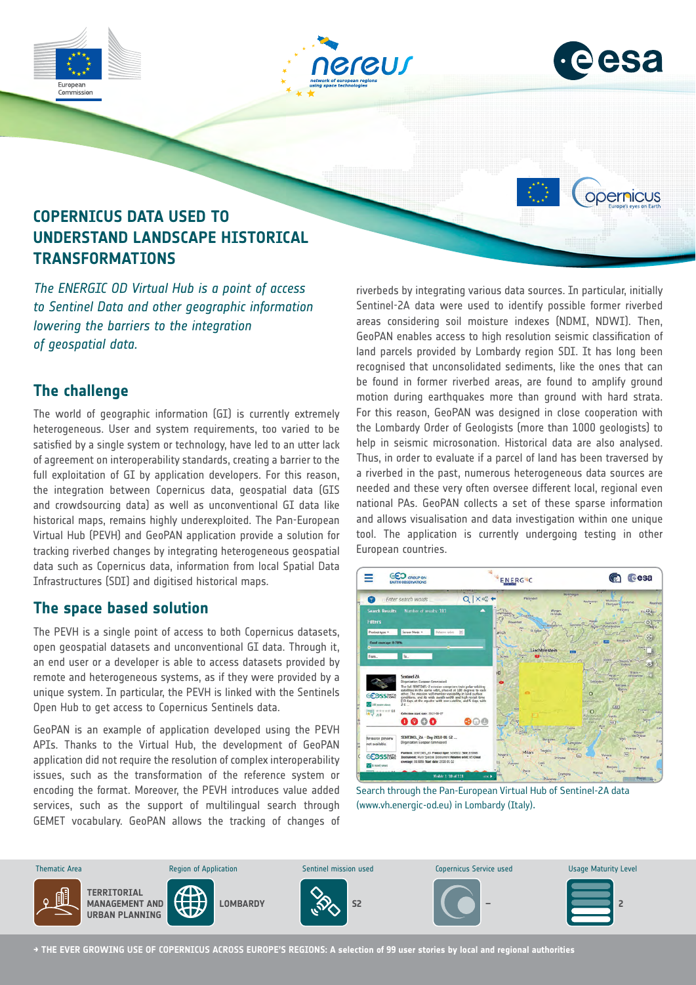





opernicus

# **COPERNICUS DATA USED TO UNDERSTAND LANDSCAPE HISTORICAL TRANSFORMATIONS**

*The ENERGIC OD Virtual Hub is a point of access to Sentinel Data and other geographic information lowering the barriers to the integration of geospatial data.* 

## **The challenge**

The world of geographic information (GI) is currently extremely heterogeneous. User and system requirements, too varied to be satisfied by a single system or technology, have led to an utter lack of agreement on interoperability standards, creating a barrier to the full exploitation of GI by application developers. For this reason, the integration between Copernicus data, geospatial data (GIS and crowdsourcing data) as well as unconventional GI data like historical maps, remains highly underexploited. The Pan-European Virtual Hub (PEVH) and GeoPAN application provide a solution for tracking riverbed changes by integrating heterogeneous geospatial data such as Copernicus data, information from local Spatial Data Infrastructures (SDI) and digitised historical maps.

### **The space based solution**

The PEVH is a single point of access to both Copernicus datasets, open geospatial datasets and unconventional GI data. Through it, an end user or a developer is able to access datasets provided by remote and heterogeneous systems, as if they were provided by a unique system. In particular, the PEVH is linked with the Sentinels Open Hub to get access to Copernicus Sentinels data.

GeoPAN is an example of application developed using the PEVH APIs. Thanks to the Virtual Hub, the development of GeoPAN application did not require the resolution of complex interoperability issues, such as the transformation of the reference system or encoding the format. Moreover, the PEVH introduces value added services, such as the support of multilingual search through GEMET vocabulary. GeoPAN allows the tracking of changes of

riverbeds by integrating various data sources. In particular, initially Sentinel-2A data were used to identify possible former riverbed areas considering soil moisture indexes (NDMI, NDWI). Then, GeoPAN enables access to high resolution seismic classification of land parcels provided by Lombardy region SDI. It has long been recognised that unconsolidated sediments, like the ones that can be found in former riverbed areas, are found to amplify ground motion during earthquakes more than ground with hard strata. For this reason, GeoPAN was designed in close cooperation with the Lombardy Order of Geologists (more than 1000 geologists) to help in seismic microsonation. Historical data are also analysed. Thus, in order to evaluate if a parcel of land has been traversed by a riverbed in the past, numerous heterogeneous data sources are needed and these very often oversee different local, regional even national PAs. GeoPAN collects a set of these sparse information and allows visualisation and data investigation within one unique tool. The application is currently undergoing testing in other European countries.



Search through the Pan-European Virtual Hub of Sentinel-2A data (www.vh.energic-od.eu) in Lombardy (Italy).



**→ THE EVER GROWING USE OF COPERNICUS ACROSS EUROPE'S REGIONS: A selection of 99 user stories by local and regional authorities**